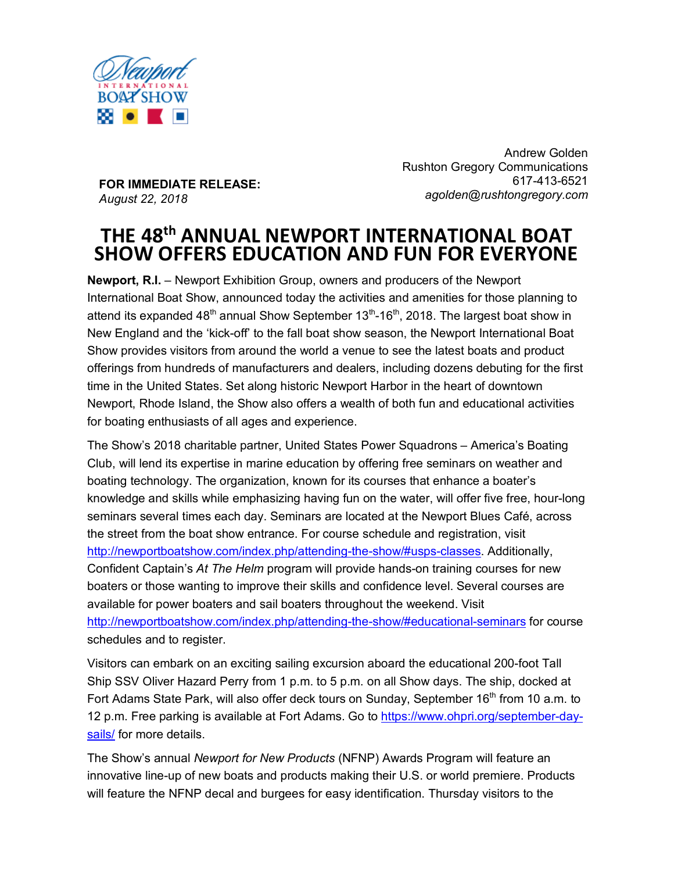

**FOR IMMEDIATE RELEASE:** *August 22, 2018*

Andrew Golden Rushton Gregory Communications 617-413-6521 *agolden@rushtongregory.com*

# **THE 48th ANNUAL NEWPORT INTERNATIONAL BOAT SHOW OFFERS EDUCATION AND FUN FOR EVERYONE**

**Newport, R.I.** – Newport Exhibition Group, owners and producers of the Newport International Boat Show, announced today the activities and amenities for those planning to attend its expanded  $48<sup>th</sup>$  annual Show September  $13<sup>th</sup>$ -16<sup>th</sup>, 2018. The largest boat show in New England and the 'kick-off' to the fall boat show season, the Newport International Boat Show provides visitors from around the world a venue to see the latest boats and product offerings from hundreds of manufacturers and dealers, including dozens debuting for the first time in the United States. Set along historic Newport Harbor in the heart of downtown Newport, Rhode Island, the Show also offers a wealth of both fun and educational activities for boating enthusiasts of all ages and experience.

The Show's 2018 charitable partner, United States Power Squadrons – America's Boating Club, will lend its expertise in marine education by offering free seminars on weather and boating technology. The organization, known for its courses that enhance a boater's knowledge and skills while emphasizing having fun on the water, will offer five free, hour-long seminars several times each day. Seminars are located at the Newport Blues Café, across the street from the boat show entrance. For course schedule and registration, visit http://newportboatshow.com/index.php/attending-the-show/#usps-classes. Additionally, Confident Captain's *At The Helm* program will provide hands-on training courses for new boaters or those wanting to improve their skills and confidence level. Several courses are available for power boaters and sail boaters throughout the weekend. Visit http://newportboatshow.com/index.php/attending-the-show/#educational-seminars for course schedules and to register.

Visitors can embark on an exciting sailing excursion aboard the educational 200-foot Tall Ship SSV Oliver Hazard Perry from 1 p.m. to 5 p.m. on all Show days. The ship, docked at Fort Adams State Park, will also offer deck tours on Sunday, September  $16<sup>th</sup>$  from 10 a.m. to 12 p.m. Free parking is available at Fort Adams. Go to https://www.ohpri.org/september-daysails/ for more details.

The Show's annual *Newport for New Products* (NFNP) Awards Program will feature an innovative line-up of new boats and products making their U.S. or world premiere. Products will feature the NFNP decal and burgees for easy identification. Thursday visitors to the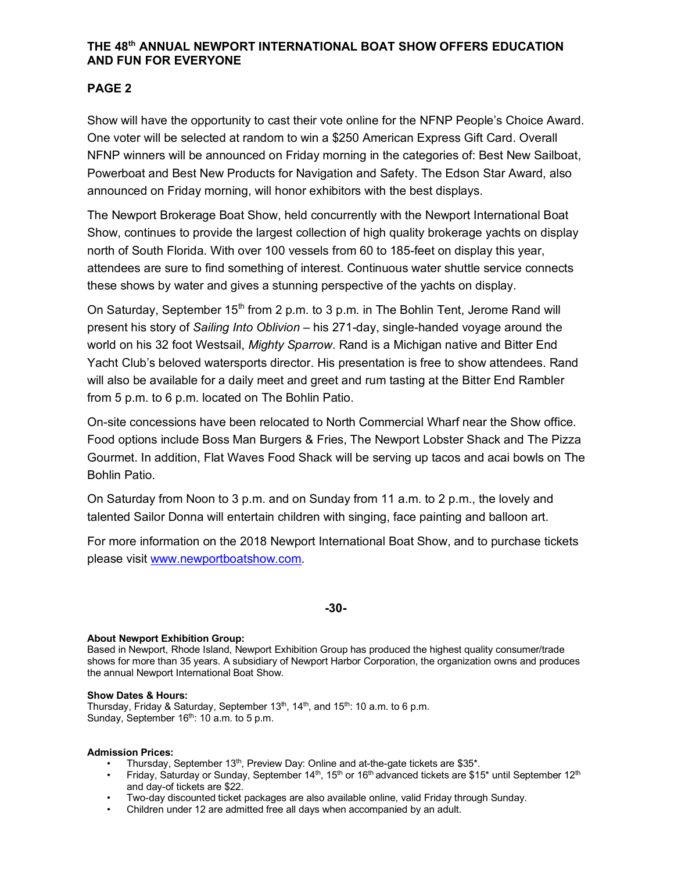## **THE 48th ANNUAL NEWPORT INTERNATIONAL BOAT SHOW OFFERS EDUCATION AND FUN FOR EVERYONE**

# **PAGE 2**

Show will have the opportunity to cast their vote online for the NFNP People's Choice Award. One voter will be selected at random to win a \$250 American Express Gift Card. Overall NFNP winners will be announced on Friday morning in the categories of: Best New Sailboat, Powerboat and Best New Products for Navigation and Safety. The Edson Star Award, also announced on Friday morning, will honor exhibitors with the best displays.

The Newport Brokerage Boat Show, held concurrently with the Newport International Boat Show, continues to provide the largest collection of high quality brokerage yachts on display north of South Florida. With over 100 vessels from 60 to 185-feet on display this year, attendees are sure to find something of interest. Continuous water shuttle service connects these shows by water and gives a stunning perspective of the yachts on display.

On Saturday, September 15<sup>th</sup> from 2 p.m. to 3 p.m. in The Bohlin Tent, Jerome Rand will present his story of *Sailing Into Oblivion* – his 271-day, single-handed voyage around the world on his 32 foot Westsail, *Mighty Sparrow*. Rand is a Michigan native and Bitter End Yacht Club's beloved watersports director. His presentation is free to show attendees. Rand will also be available for a daily meet and greet and rum tasting at the Bitter End Rambler from 5 p.m. to 6 p.m. located on The Bohlin Patio.

On-site concessions have been relocated to North Commercial Wharf near the Show office. Food options include Boss Man Burgers & Fries, The Newport Lobster Shack and The Pizza Gourmet. In addition, Flat Waves Food Shack will be serving up tacos and acai bowls on The Bohlin Patio.

On Saturday from Noon to 3 p.m. and on Sunday from 11 a.m. to 2 p.m., the lovely and talented Sailor Donna will entertain children with singing, face painting and balloon art.

For more information on the 2018 Newport International Boat Show, and to purchase tickets please visit www.newportboatshow.com.

## **-30-**

## **About Newport Exhibition Group:**

Based in Newport, Rhode Island, Newport Exhibition Group has produced the highest quality consumer/trade shows for more than 35 years. A subsidiary of Newport Harbor Corporation, the organization owns and produces the annual Newport International Boat Show.

#### **Show Dates & Hours:**

Thursday, Friday & Saturday, September  $13<sup>th</sup>$ ,  $14<sup>th</sup>$ , and  $15<sup>th</sup>$ : 10 a.m. to 6 p.m. Sunday, September 16<sup>th</sup>: 10 a.m. to 5 p.m.

#### **Admission Prices:**

- Thursday, September 13<sup>th</sup>, Preview Day: Online and at-the-gate tickets are \$35\*.
- Friday, Saturday or Sunday, September 14<sup>th</sup>, 15<sup>th</sup> or 16<sup>th</sup> advanced tickets are \$15<sup>\*</sup> until September 12<sup>th</sup> and day-of tickets are \$22.
- Two-day discounted ticket packages are also available online, valid Friday through Sunday.
- Children under 12 are admitted free all days when accompanied by an adult.